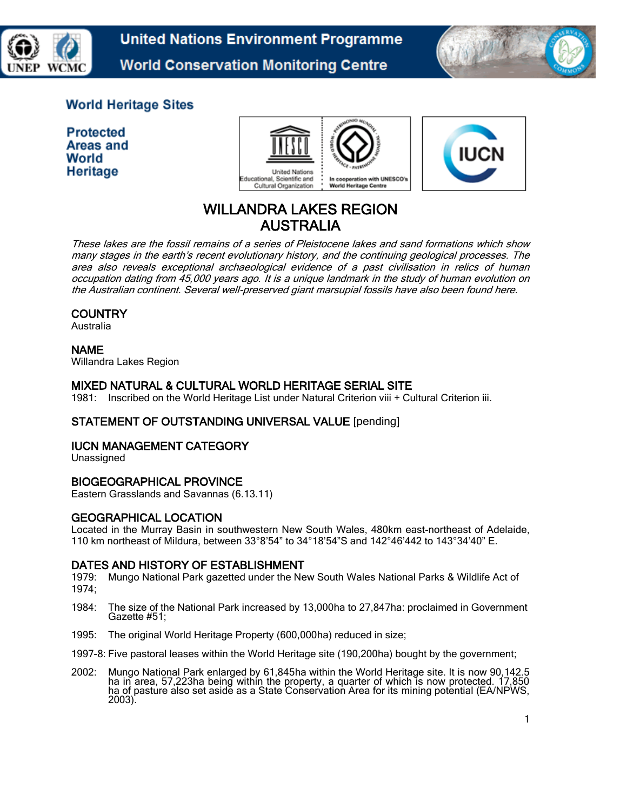



## **World Heritage Sites**

**Protected** Areas and World Heritage





# WILLANDRA LAKES REGION AUSTRALIA

These lakes are the fossil remains of a series of Pleistocene lakes and sand formations which show many stages in the earth's recent evolutionary history, and the continuing geological processes. The area also reveals exceptional archaeological evidence of a past civilisation in relics of human occupation dating from 45,000 years ago. It is a unique landmark in the study of human evolution on the Australian continent. Several well-preserved giant marsupial fossils have also been found here.

## **COUNTRY**

Australia

## NAME

Willandra Lakes Region

## MIXED NATURAL & CULTURAL WORLD HERITAGE SERIAL SITE

1981: Inscribed on the World Heritage List under Natural Criterion viii + Cultural Criterion iii.

## STATEMENT OF OUTSTANDING UNIVERSAL VALUE [pending]

## IUCN MANAGEMENT CATEGORY

Unassigned

## BIOGEOGRAPHICAL PROVINCE

Eastern Grasslands and Savannas (6.13.11)

## GEOGRAPHICAL LOCATION

Located in the Murray Basin in southwestern New South Wales, 480km east-northeast of Adelaide, 110 km northeast of Mildura, between 33°8'54" to 34°18'54"S and 142°46'442 to 143°34'40" E.

## DATES AND HISTORY OF ESTABLISHMENT

1979: Mungo National Park gazetted under the New South Wales National Parks & Wildlife Act of 1974;

- 1984: The size of the National Park increased by 13,000ha to 27,847ha: proclaimed in Government Gazette #51;
- 1995: The original World Heritage Property (600,000ha) reduced in size;
- 1997-8: Five pastoral leases within the World Heritage site (190,200ha) bought by the government;
- 2002: Mungo National Park enlarged by 61,845ha within the World Heritage site. It is now 90,142.5 ha in area, 57,223ha being within the property, a quarter of which is now protected. 17,850 ha of pasture also set aside as a State Conservation Area for its mining potential (EA/NPWS, 2003).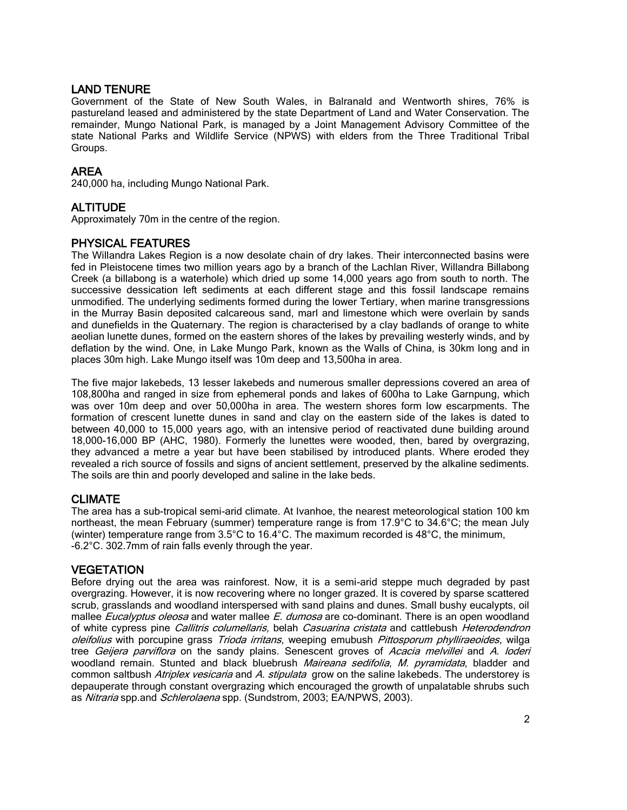## LAND TENURE

Government of the State of New South Wales, in Balranald and Wentworth shires, 76% is pastureland leased and administered by the state Department of Land and Water Conservation. The remainder, Mungo National Park, is managed by a Joint Management Advisory Committee of the state National Parks and Wildlife Service (NPWS) with elders from the Three Traditional Tribal Groups.

## AREA

240,000 ha, including Mungo National Park.

## ALTITUDE

Approximately 70m in the centre of the region.

## PHYSICAL FEATURES

The Willandra Lakes Region is a now desolate chain of dry lakes. Their interconnected basins were fed in Pleistocene times two million years ago by a branch of the Lachlan River, Willandra Billabong Creek (a billabong is a waterhole) which dried up some 14,000 years ago from south to north. The successive dessication left sediments at each different stage and this fossil landscape remains unmodified. The underlying sediments formed during the lower Tertiary, when marine transgressions in the Murray Basin deposited calcareous sand, marl and limestone which were overlain by sands and dunefields in the Quaternary. The region is characterised by a clay badlands of orange to white aeolian lunette dunes, formed on the eastern shores of the lakes by prevailing westerly winds, and by deflation by the wind. One, in Lake Mungo Park, known as the Walls of China, is 30km long and in places 30m high. Lake Mungo itself was 10m deep and 13,500ha in area.

The five major lakebeds, 13 lesser lakebeds and numerous smaller depressions covered an area of 108,800ha and ranged in size from ephemeral ponds and lakes of 600ha to Lake Garnpung, which was over 10m deep and over 50,000ha in area. The western shores form low escarpments. The formation of crescent lunette dunes in sand and clay on the eastern side of the lakes is dated to between 40,000 to 15,000 years ago, with an intensive period of reactivated dune building around 18,000-16,000 BP (AHC, 1980). Formerly the lunettes were wooded, then, bared by overgrazing, they advanced a metre a year but have been stabilised by introduced plants. Where eroded they revealed a rich source of fossils and signs of ancient settlement, preserved by the alkaline sediments. The soils are thin and poorly developed and saline in the lake beds.

#### CLIMATE

The area has a sub-tropical semi-arid climate. At Ivanhoe, the nearest meteorological station 100 km northeast, the mean February (summer) temperature range is from 17.9°C to 34.6°C; the mean July (winter) temperature range from  $3.5^{\circ}$ C to  $16.4^{\circ}$ C. The maximum recorded is  $48^{\circ}$ C, the minimum, -6.2°C. 302.7mm of rain falls evenly through the year.

#### **VEGETATION**

Before drying out the area was rainforest. Now, it is a semi-arid steppe much degraded by past overgrazing. However, it is now recovering where no longer grazed. It is covered by sparse scattered scrub, grasslands and woodland interspersed with sand plains and dunes. Small bushy eucalypts, oil mallee *Eucalyptus oleosa* and water mallee *E. dumosa* are co-dominant. There is an open woodland of white cypress pine Callitris columellaris, belah Casuarina cristata and cattlebush Heterodendron oleifolius with porcupine grass Trioda irritans, weeping emubush Pittosporum phylliraeoides, wilga tree Geijera parviflora on the sandy plains. Senescent groves of Acacia melvillei and A. loderi woodland remain. Stunted and black bluebrush Maireana sedifolia, M. pyramidata, bladder and common saltbush Atriplex vesicaria and A. stipulata grow on the saline lakebeds. The understorey is depauperate through constant overgrazing which encouraged the growth of unpalatable shrubs such as Nitraria spp.and Schlerolaena spp. (Sundstrom, 2003; EA/NPWS, 2003).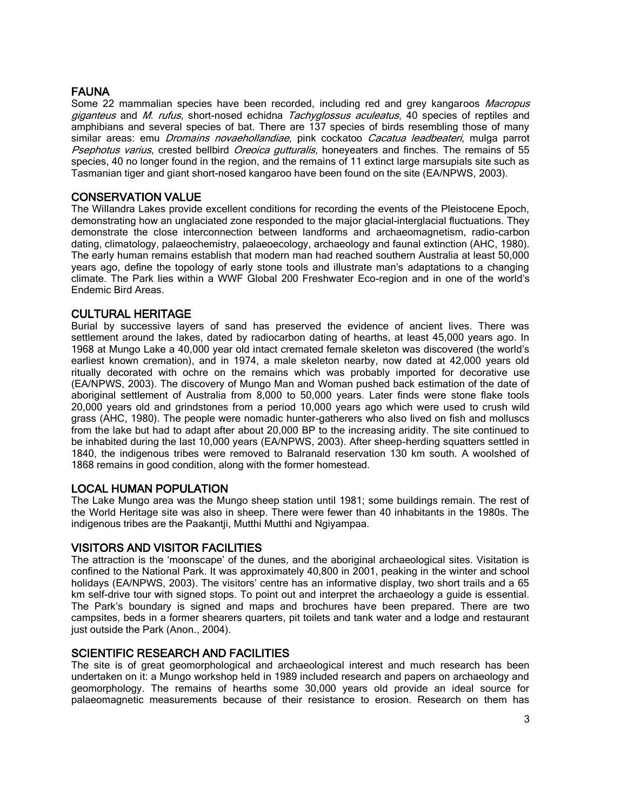## **FAUNA**

Some 22 mammalian species have been recorded, including red and grey kangaroos *Macropus* giganteus and M. rufus, short-nosed echidna Tachyglossus aculeatus, 40 species of reptiles and amphibians and several species of bat. There are 137 species of birds resembling those of many similar areas: emu *Dromains novaehollandiae*, pink cockatoo Cacatua leadbeateri, mulga parrot Psephotus varius, crested bellbird Oreoica gutturalis, honeyeaters and finches. The remains of 55 species, 40 no longer found in the region, and the remains of 11 extinct large marsupials site such as Tasmanian tiger and giant short-nosed kangaroo have been found on the site (EA/NPWS, 2003).

## CONSERVATION VALUE

The Willandra Lakes provide excellent conditions for recording the events of the Pleistocene Epoch, demonstrating how an unglaciated zone responded to the major glacial-interglacial fluctuations. They demonstrate the close interconnection between landforms and archaeomagnetism, radio-carbon dating, climatology, palaeochemistry, palaeoecology, archaeology and faunal extinction (AHC, 1980). The early human remains establish that modern man had reached southern Australia at least 50,000 years ago, define the topology of early stone tools and illustrate man's adaptations to a changing climate. The Park lies within a WWF Global 200 Freshwater Eco-region and in one of the world's Endemic Bird Areas.

#### CULTURAL HERITAGE

Burial by successive layers of sand has preserved the evidence of ancient lives. There was settlement around the lakes, dated by radiocarbon dating of hearths, at least 45,000 years ago. In 1968 at Mungo Lake a 40,000 year old intact cremated female skeleton was discovered (the world's earliest known cremation), and in 1974, a male skeleton nearby, now dated at 42,000 years old ritually decorated with ochre on the remains which was probably imported for decorative use (EA/NPWS, 2003). The discovery of Mungo Man and Woman pushed back estimation of the date of aboriginal settlement of Australia from 8,000 to 50,000 years. Later finds were stone flake tools 20,000 years old and grindstones from a period 10,000 years ago which were used to crush wild grass (AHC, 1980). The people were nomadic hunter-gatherers who also lived on fish and molluscs from the lake but had to adapt after about 20,000 BP to the increasing aridity. The site continued to be inhabited during the last 10,000 years (EA/NPWS, 2003). After sheep-herding squatters settled in 1840, the indigenous tribes were removed to Balranald reservation 130 km south. A woolshed of 1868 remains in good condition, along with the former homestead.

#### LOCAL HUMAN POPULATION

The Lake Mungo area was the Mungo sheep station until 1981; some buildings remain. The rest of the World Heritage site was also in sheep. There were fewer than 40 inhabitants in the 1980s. The indigenous tribes are the Paakantji, Mutthi Mutthi and Ngiyampaa.

#### VISITORS AND VISITOR FACILITIES

The attraction is the 'moonscape' of the dunes, and the aboriginal archaeological sites. Visitation is confined to the National Park. It was approximately 40,800 in 2001, peaking in the winter and school holidays (EA/NPWS, 2003). The visitors' centre has an informative display, two short trails and a 65 km self-drive tour with signed stops. To point out and interpret the archaeology a guide is essential. The Park's boundary is signed and maps and brochures have been prepared. There are two campsites, beds in a former shearers quarters, pit toilets and tank water and a lodge and restaurant just outside the Park (Anon., 2004).

#### SCIENTIFIC RESEARCH AND FACILITIES

The site is of great geomorphological and archaeological interest and much research has been undertaken on it: a Mungo workshop held in 1989 included research and papers on archaeology and geomorphology. The remains of hearths some 30,000 years old provide an ideal source for palaeomagnetic measurements because of their resistance to erosion. Research on them has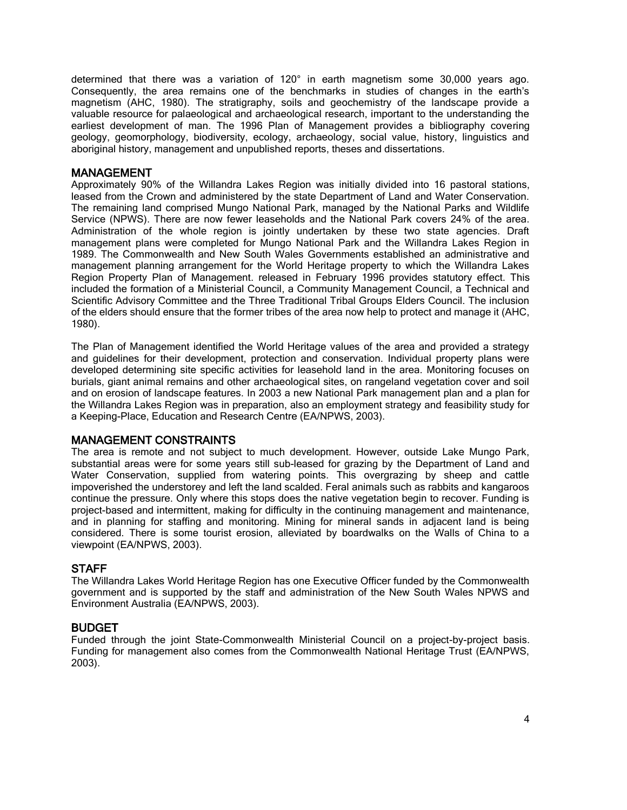determined that there was a variation of 120° in earth magnetism some 30,000 years ago. Consequently, the area remains one of the benchmarks in studies of changes in the earth's magnetism (AHC, 1980). The stratigraphy, soils and geochemistry of the landscape provide a valuable resource for palaeological and archaeological research, important to the understanding the earliest development of man. The 1996 Plan of Management provides a bibliography covering geology, geomorphology, biodiversity, ecology, archaeology, social value, history, linguistics and aboriginal history, management and unpublished reports, theses and dissertations.

#### MANAGEMENT

Approximately 90% of the Willandra Lakes Region was initially divided into 16 pastoral stations, leased from the Crown and administered by the state Department of Land and Water Conservation. The remaining land comprised Mungo National Park, managed by the National Parks and Wildlife Service (NPWS). There are now fewer leaseholds and the National Park covers 24% of the area. Administration of the whole region is jointly undertaken by these two state agencies. Draft management plans were completed for Mungo National Park and the Willandra Lakes Region in 1989. The Commonwealth and New South Wales Governments established an administrative and management planning arrangement for the World Heritage property to which the Willandra Lakes Region Property Plan of Management. released in February 1996 provides statutory effect. This included the formation of a Ministerial Council, a Community Management Council, a Technical and Scientific Advisory Committee and the Three Traditional Tribal Groups Elders Council. The inclusion of the elders should ensure that the former tribes of the area now help to protect and manage it (AHC, 1980).

The Plan of Management identified the World Heritage values of the area and provided a strategy and guidelines for their development, protection and conservation. Individual property plans were developed determining site specific activities for leasehold land in the area. Monitoring focuses on burials, giant animal remains and other archaeological sites, on rangeland vegetation cover and soil and on erosion of landscape features. In 2003 a new National Park management plan and a plan for the Willandra Lakes Region was in preparation, also an employment strategy and feasibility study for a Keeping-Place, Education and Research Centre (EA/NPWS, 2003).

#### MANAGEMENT CONSTRAINTS

The area is remote and not subject to much development. However, outside Lake Mungo Park, substantial areas were for some years still sub-leased for grazing by the Department of Land and Water Conservation, supplied from watering points. This overgrazing by sheep and cattle impoverished the understorey and left the land scalded. Feral animals such as rabbits and kangaroos continue the pressure. Only where this stops does the native vegetation begin to recover. Funding is project-based and intermittent, making for difficulty in the continuing management and maintenance, and in planning for staffing and monitoring. Mining for mineral sands in adjacent land is being considered. There is some tourist erosion, alleviated by boardwalks on the Walls of China to a viewpoint (EA/NPWS, 2003).

#### **STAFF**

The Willandra Lakes World Heritage Region has one Executive Officer funded by the Commonwealth government and is supported by the staff and administration of the New South Wales NPWS and Environment Australia (EA/NPWS, 2003).

#### BUDGET

Funded through the joint State-Commonwealth Ministerial Council on a project-by-project basis. Funding for management also comes from the Commonwealth National Heritage Trust (EA/NPWS, 2003).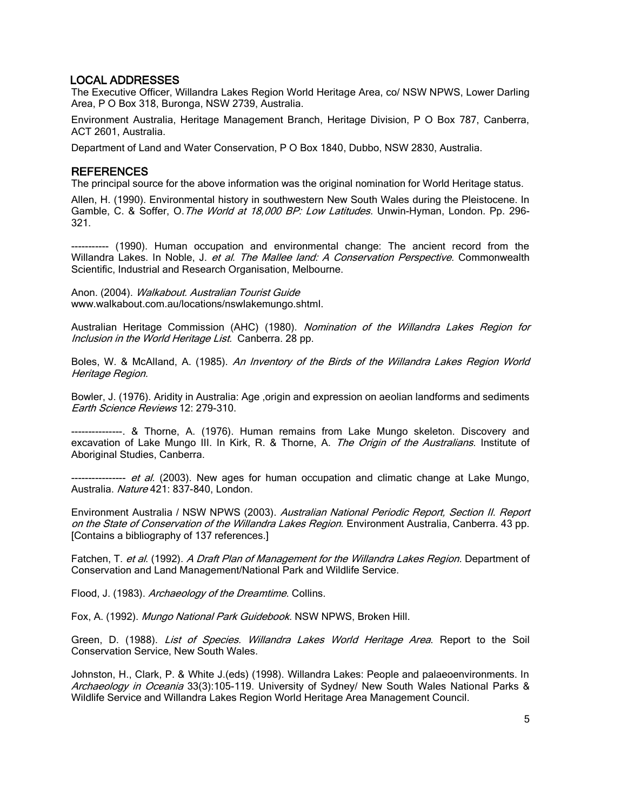#### LOCAL ADDRESSES

The Executive Officer, Willandra Lakes Region World Heritage Area, co/ NSW NPWS, Lower Darling Area, P O Box 318, Buronga, NSW 2739, Australia.

Environment Australia, Heritage Management Branch, Heritage Division, P O Box 787, Canberra, ACT 2601, Australia.

Department of Land and Water Conservation, P O Box 1840, Dubbo, NSW 2830, Australia.

#### REFERENCES

The principal source for the above information was the original nomination for World Heritage status.

Allen, H. (1990). Environmental history in southwestern New South Wales during the Pleistocene. In Gamble, C. & Soffer, O. The World at 18,000 BP: Low Latitudes. Unwin-Hyman, London. Pp. 296-321.

----------- (1990). Human occupation and environmental change: The ancient record from the Willandra Lakes. In Noble, J. et al. The Mallee land: A Conservation Perspective. Commonwealth Scientific, Industrial and Research Organisation, Melbourne.

Anon. (2004). Walkabout. Australian Tourist Guide www.walkabout.com.au/locations/nswlakemungo.shtml.

Australian Heritage Commission (AHC) (1980). Nomination of the Willandra Lakes Region for Inclusion in the World Heritage List. Canberra. 28 pp.

Boles, W. & McAlland, A. (1985). An Inventory of the Birds of the Willandra Lakes Region World Heritage Region.

Bowler, J. (1976). Aridity in Australia: Age ,origin and expression on aeolian landforms and sediments Earth Science Reviews 12: 279-310.

---------------. & Thorne, A. (1976). Human remains from Lake Mungo skeleton. Discovery and excavation of Lake Mungo III. In Kirk, R. & Thorne, A. The Origin of the Australians. Institute of Aboriginal Studies, Canberra.

---------------- et al. (2003). New ages for human occupation and climatic change at Lake Mungo, Australia. Nature 421: 837-840, London.

Environment Australia / NSW NPWS (2003). Australian National Periodic Report, Section II. Report on the State of Conservation of the Willandra Lakes Region. Environment Australia, Canberra. 43 pp. [Contains a bibliography of 137 references.]

Fatchen, T. et al. (1992). A Draft Plan of Management for the Willandra Lakes Region. Department of Conservation and Land Management/National Park and Wildlife Service.

Flood, J. (1983). Archaeology of the Dreamtime. Collins.

Fox, A. (1992). Mungo National Park Guidebook. NSW NPWS, Broken Hill.

Green, D. (1988). List of Species. Willandra Lakes World Heritage Area. Report to the Soil Conservation Service, New South Wales.

Johnston, H., Clark, P. & White J.(eds) (1998). Willandra Lakes: People and palaeoenvironments. In Archaeology in Oceania 33(3):105-119. University of Sydney/ New South Wales National Parks & Wildlife Service and Willandra Lakes Region World Heritage Area Management Council.